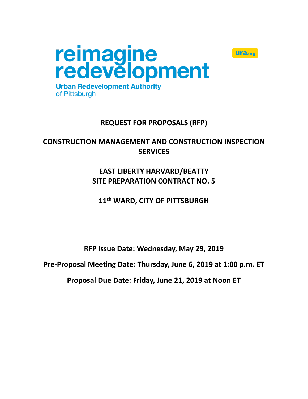

# **REQUEST FOR PROPOSALS (RFP)**

**Ulfa.org** 

# **CONSTRUCTION MANAGEMENT AND CONSTRUCTION INSPECTION SERVICES**

# **EAST LIBERTY HARVARD/BEATTY SITE PREPARATION CONTRACT NO. 5**

**11th WARD, CITY OF PITTSBURGH**

**RFP Issue Date: Wednesday, May 29, 2019**

**Pre-Proposal Meeting Date: Thursday, June 6, 2019 at 1:00 p.m. ET**

**Proposal Due Date: Friday, June 21, 2019 at Noon ET**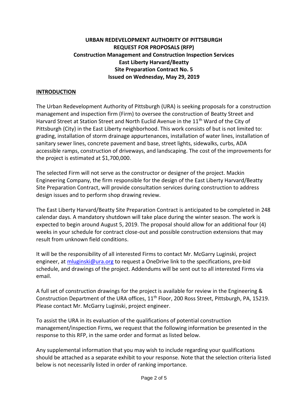## **URBAN REDEVELOPMENT AUTHORITY OF PITTSBURGH REQUEST FOR PROPOSALS (RFP) Construction Management and Construction Inspection Services East Liberty Harvard/Beatty Site Preparation Contract No. 5 Issued on Wednesday, May 29, 2019**

### **INTRODUCTION**

The Urban Redevelopment Authority of Pittsburgh (URA) is seeking proposals for a construction management and inspection firm (Firm) to oversee the construction of Beatty Street and Harvard Street at Station Street and North Euclid Avenue in the 11<sup>th</sup> Ward of the City of Pittsburgh (City) in the East Liberty neighborhood. This work consists of but is not limited to: grading, installation of storm drainage appurtenances, installation of water lines, installation of sanitary sewer lines, concrete pavement and base, street lights, sidewalks, curbs, ADA accessible ramps, construction of driveways, and landscaping. The cost of the improvements for the project is estimated at \$1,700,000.

The selected Firm will not serve as the constructor or designer of the project. Mackin Engineering Company, the firm responsible for the design of the East Liberty Harvard/Beatty Site Preparation Contract, will provide consultation services during construction to address design issues and to perform shop drawing review.

The East Liberty Harvard/Beatty Site Preparation Contract is anticipated to be completed in 248 calendar days. A mandatory shutdown will take place during the winter season. The work is expected to begin around August 5, 2019. The proposal should allow for an additional four (4) weeks in your schedule for contract close-out and possible construction extensions that may result from unknown field conditions.

It will be the responsibility of all interested Firms to contact Mr. McGarry Luginski, project engineer, at [mluginski@ura.org](mailto:mluginski@ura.org) to request a OneDrive link to the specifications, pre-bid schedule, and drawings of the project. Addendums will be sent out to all interested Firms via email.

A full set of construction drawings for the project is available for review in the Engineering & Construction Department of the URA offices, 11<sup>th</sup> Floor, 200 Ross Street, Pittsburgh, PA, 15219. Please contact Mr. McGarry Luginski, project engineer.

To assist the URA in its evaluation of the qualifications of potential construction management/inspection Firms, we request that the following information be presented in the response to this RFP, in the same order and format as listed below.

Any supplemental information that you may wish to include regarding your qualifications should be attached as a separate exhibit to your response. Note that the selection criteria listed below is not necessarily listed in order of ranking importance.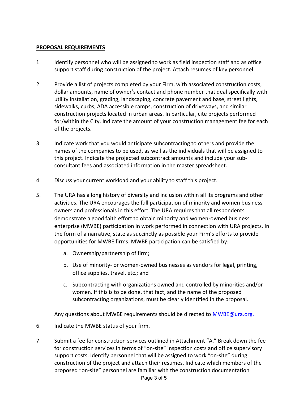### **PROPOSAL REQUIREMENTS**

- 1. Identify personnel who will be assigned to work as field inspection staff and as office support staff during construction of the project. Attach resumes of key personnel.
- 2. Provide a list of projects completed by your Firm, with associated construction costs, dollar amounts, name of owner's contact and phone number that deal specifically with utility installation, grading, landscaping, concrete pavement and base, street lights, sidewalks, curbs, ADA accessible ramps, construction of driveways, and similar construction projects located in urban areas. In particular, cite projects performed for/within the City. Indicate the amount of your construction management fee for each of the projects.
- 3. Indicate work that you would anticipate subcontracting to others and provide the names of the companies to be used, as well as the individuals that will be assigned to this project. Indicate the projected subcontract amounts and include your subconsultant fees and associated information in the master spreadsheet.
- 4. Discuss your current workload and your ability to staff this project.
- 5. The URA has a long history of diversity and inclusion within all its programs and other activities. The URA encourages the full participation of minority and women business owners and professionals in this effort. The URA requires that all respondents demonstrate a good faith effort to obtain minority and women-owned business enterprise (MWBE) participation in work performed in connection with URA projects. In the form of a narrative, state as succinctly as possible your Firm's efforts to provide opportunities for MWBE firms. MWBE participation can be satisfied by:
	- a. Ownership/partnership of firm;
	- b. Use of minority- or women-owned businesses as vendors for legal, printing, office supplies, travel, etc.; and
	- c. Subcontracting with organizations owned and controlled by minorities and/or women. If this is to be done, that fact, and the name of the proposed subcontracting organizations, must be clearly identified in the proposal.

Any questions about MWBE requirements should be directed to **MWBE@ura.org.** 

- 6. Indicate the MWBE status of your firm.
- 7. Submit a fee for construction services outlined in Attachment "A." Break down the fee for construction services in terms of "on-site" inspection costs and office supervisory support costs. Identify personnel that will be assigned to work "on-site" during construction of the project and attach their resumes. Indicate which members of the proposed "on-site" personnel are familiar with the construction documentation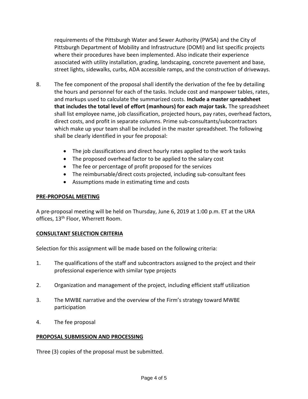requirements of the Pittsburgh Water and Sewer Authority (PWSA) and the City of Pittsburgh Department of Mobility and Infrastructure (DOMI) and list specific projects where their procedures have been implemented. Also indicate their experience associated with utility installation, grading, landscaping, concrete pavement and base, street lights, sidewalks, curbs, ADA accessible ramps, and the construction of driveways.

- 8. The fee component of the proposal shall identify the derivation of the fee by detailing the hours and personnel for each of the tasks. Include cost and manpower tables, rates, and markups used to calculate the summarized costs. **Include a master spreadsheet that includes the total level of effort (manhours) for each major task.** The spreadsheet shall list employee name, job classification, projected hours, pay rates, overhead factors, direct costs, and profit in separate columns. Prime sub-consultants/subcontractors which make up your team shall be included in the master spreadsheet. The following shall be clearly identified in your fee proposal:
	- The job classifications and direct hourly rates applied to the work tasks
	- The proposed overhead factor to be applied to the salary cost
	- The fee or percentage of profit proposed for the services
	- The reimbursable/direct costs projected, including sub-consultant fees
	- Assumptions made in estimating time and costs

### **PRE-PROPOSAL MEETING**

A pre-proposal meeting will be held on Thursday, June 6, 2019 at 1:00 p.m. ET at the URA offices, 13<sup>th</sup> Floor, Wherrett Room.

#### **CONSULTANT SELECTION CRITERIA**

Selection for this assignment will be made based on the following criteria:

- 1. The qualifications of the staff and subcontractors assigned to the project and their professional experience with similar type projects
- 2. Organization and management of the project, including efficient staff utilization
- 3. The MWBE narrative and the overview of the Firm's strategy toward MWBE participation
- 4. The fee proposal

#### **PROPOSAL SUBMISSION AND PROCESSING**

Three (3) copies of the proposal must be submitted.